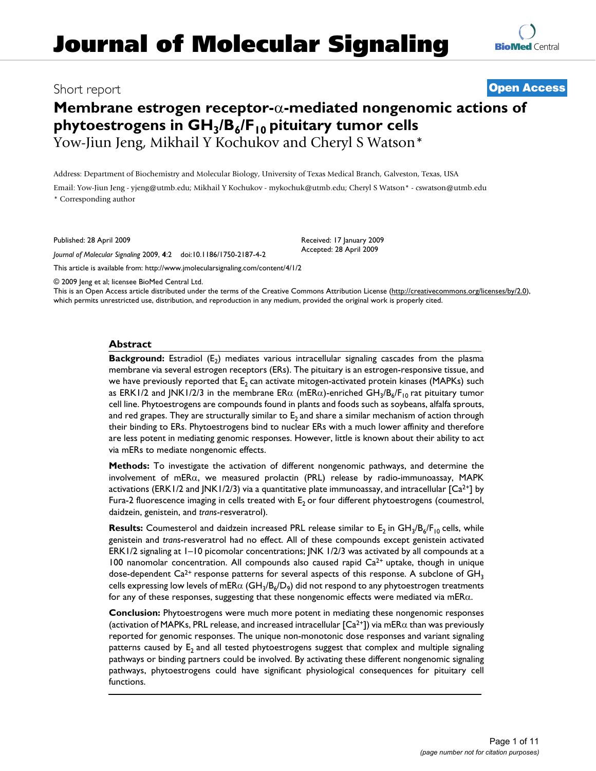# **[BioMed](http://www.biomedcentral.com/)** Central

# Short report **[Open Access](http://www.biomedcentral.com/info/about/charter/) Membrane estrogen receptor-**α**-mediated nongenomic actions of**  phytoestrogens in GH<sub>3</sub>/B<sub>6</sub>/F<sub>10</sub> pituitary tumor cells Yow-Jiun Jeng, Mikhail Y Kochukov and Cheryl S Watson\*

Address: Department of Biochemistry and Molecular Biology, University of Texas Medical Branch, Galveston, Texas, USA

Email: Yow-Jiun Jeng - yjeng@utmb.edu; Mikhail Y Kochukov - mykochuk@utmb.edu; Cheryl S Watson\* - cswatson@utmb.edu \* Corresponding author

Published: 28 April 2009

*Journal of Molecular Signaling* 2009, **4**:2 doi:10.1186/1750-2187-4-2

[This article is available from: http://www.jmolecularsignaling.com/content/4/1/2](http://www.jmolecularsignaling.com/content/4/1/2)

© 2009 Jeng et al; licensee BioMed Central Ltd.

This is an Open Access article distributed under the terms of the Creative Commons Attribution License [\(http://creativecommons.org/licenses/by/2.0\)](http://creativecommons.org/licenses/by/2.0), which permits unrestricted use, distribution, and reproduction in any medium, provided the original work is properly cited.

Received: 17 January 2009 Accepted: 28 April 2009

# **Abstract**

**Background:** Estradiol (E<sub>2</sub>) mediates various intracellular signaling cascades from the plasma membrane via several estrogen receptors (ERs). The pituitary is an estrogen-responsive tissue, and we have previously reported that  $E_2$  can activate mitogen-activated protein kinases (MAPKs) such as ERK1/2 and JNK1/2/3 in the membrane ER $\alpha$  (mER $\alpha$ )-enriched GH<sub>3</sub>/B<sub>6</sub>/F<sub>10</sub> rat pituitary tumor cell line. Phytoestrogens are compounds found in plants and foods such as soybeans, alfalfa sprouts, and red grapes. They are structurally similar to  $E<sub>2</sub>$  and share a similar mechanism of action through their binding to ERs. Phytoestrogens bind to nuclear ERs with a much lower affinity and therefore are less potent in mediating genomic responses. However, little is known about their ability to act via mERs to mediate nongenomic effects.

**Methods:** To investigate the activation of different nongenomic pathways, and determine the involvement of mERα, we measured prolactin (PRL) release by radio-immunoassay, MAPK activations (ERK1/2 and JNK1/2/3) via a quantitative plate immunoassay, and intracellular  $[Ca^{2+}]$  by Fura-2 fluorescence imaging in cells treated with  $E<sub>2</sub>$  or four different phytoestrogens (coumestrol, daidzein, genistein, and *trans*-resveratrol).

**Results:** Coumesterol and daidzein increased PRL release similar to E<sub>2</sub> in GH<sub>3</sub>/B<sub>6</sub>/F<sub>10</sub> cells, while genistein and *trans*-resveratrol had no effect. All of these compounds except genistein activated ERK1/2 signaling at 1–10 picomolar concentrations; JNK 1/2/3 was activated by all compounds at a 100 nanomolar concentration. All compounds also caused rapid  $Ca<sup>2+</sup>$  uptake, though in unique dose-dependent  $Ca^{2+}$  response patterns for several aspects of this response. A subclone of  $GH<sub>3</sub>$ cells expressing low levels of mER $\alpha$  (GH<sub>3</sub>/B<sub>6</sub>/D<sub>9</sub>) did not respond to any phytoestrogen treatments for any of these responses, suggesting that these nongenomic effects were mediated via mER $\alpha$ .

**Conclusion:** Phytoestrogens were much more potent in mediating these nongenomic responses (activation of MAPKs, PRL release, and increased intracellular  $[Ca^{2+}]$ ) via mER $\alpha$  than was previously reported for genomic responses. The unique non-monotonic dose responses and variant signaling patterns caused by E<sub>2</sub> and all tested phytoestrogens suggest that complex and multiple signaling pathways or binding partners could be involved. By activating these different nongenomic signaling pathways, phytoestrogens could have significant physiological consequences for pituitary cell functions.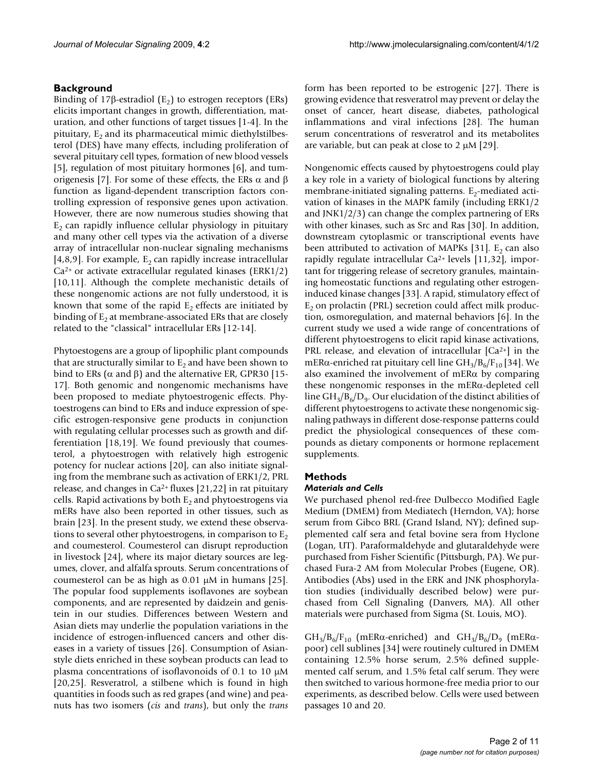# **Background**

Binding of 17β-estradiol  $(E_2)$  to estrogen receptors (ERs) elicits important changes in growth, differentiation, maturation, and other functions of target tissues [1-4]. In the pituitary,  $E_2$  and its pharmaceutical mimic diethylstilbesterol (DES) have many effects, including proliferation of several pituitary cell types, formation of new blood vessels [5], regulation of most pituitary hormones [6], and tumorigenesis [7]. For some of these effects, the ERs  $\alpha$  and  $\beta$ function as ligand-dependent transcription factors controlling expression of responsive genes upon activation. However, there are now numerous studies showing that  $E<sub>2</sub>$  can rapidly influence cellular physiology in pituitary and many other cell types via the activation of a diverse array of intracellular non-nuclear signaling mechanisms [4,8,9]. For example,  $E_2$  can rapidly increase intracellular  $Ca<sup>2+</sup>$  or activate extracellular regulated kinases (ERK1/2) [10,11]. Although the complete mechanistic details of these nongenomic actions are not fully understood, it is known that some of the rapid  $E_2$  effects are initiated by binding of  $E<sub>2</sub>$  at membrane-associated ERs that are closely related to the "classical" intracellular ERs [12-14].

Phytoestogens are a group of lipophilic plant compounds that are structurally similar to  $E<sub>2</sub>$  and have been shown to bind to ERs ( $\alpha$  and  $\beta$ ) and the alternative ER, GPR30 [15-17]. Both genomic and nongenomic mechanisms have been proposed to mediate phytoestrogenic effects. Phytoestrogens can bind to ERs and induce expression of specific estrogen-responsive gene products in conjunction with regulating cellular processes such as growth and differentiation [18,19]. We found previously that coumesterol, a phytoestrogen with relatively high estrogenic potency for nuclear actions [20], can also initiate signaling from the membrane such as activation of ERK1/2, PRL release, and changes in  $Ca^{2+}$  fluxes [21,22] in rat pituitary cells. Rapid activations by both  $E<sub>2</sub>$  and phytoestrogens via mERs have also been reported in other tissues, such as brain [23]. In the present study, we extend these observations to several other phytoestrogens, in comparison to  $E_2$ and coumesterol. Coumesterol can disrupt reproduction in livestock [24], where its major dietary sources are legumes, clover, and alfalfa sprouts. Serum concentrations of coumesterol can be as high as 0.01 μM in humans [25]. The popular food supplements isoflavones are soybean components, and are represented by daidzein and genistein in our studies. Differences between Western and Asian diets may underlie the population variations in the incidence of estrogen-influenced cancers and other diseases in a variety of tissues [26]. Consumption of Asianstyle diets enriched in these soybean products can lead to plasma concentrations of isoflavonoids of 0.1 to 10 μM [20,25]. Resveratrol, a stilbene which is found in high quantities in foods such as red grapes (and wine) and peanuts has two isomers (*cis* and *trans*), but only the *trans*

form has been reported to be estrogenic [27]. There is growing evidence that resveratrol may prevent or delay the onset of cancer, heart disease, diabetes, pathological inflammations and viral infections [28]. The human serum concentrations of resveratrol and its metabolites are variable, but can peak at close to 2 μM [29].

Nongenomic effects caused by phytoestrogens could play a key role in a variety of biological functions by altering membrane-initiated signaling patterns.  $E_2$ -mediated activation of kinases in the MAPK family (including ERK1/2 and JNK1/2/3) can change the complex partnering of ERs with other kinases, such as Src and Ras [30]. In addition, downstream cytoplasmic or transcriptional events have been attributed to activation of MAPKs [31]. E<sub>2</sub> can also rapidly regulate intracellular Ca2+ levels [11,32], important for triggering release of secretory granules, maintaining homeostatic functions and regulating other estrogeninduced kinase changes [33]. A rapid, stimulatory effect of  $E<sub>2</sub>$  on prolactin (PRL) secretion could affect milk production, osmoregulation, and maternal behaviors [6]. In the current study we used a wide range of concentrations of different phytoestrogens to elicit rapid kinase activations, PRL release, and elevation of intracellular  $[Ca^{2+}]$  in the mER $\alpha$ -enriched rat pituitary cell line GH<sub>3</sub>/B<sub>6</sub>/F<sub>10</sub> [34]. We also examined the involvement of mERα by comparing these nongenomic responses in the mERα-depleted cell line  $GH_{3}/B_{6}/D_{9}$ . Our elucidation of the distinct abilities of different phytoestrogens to activate these nongenomic signaling pathways in different dose-response patterns could predict the physiological consequences of these compounds as dietary components or hormone replacement supplements.

# **Methods**

# *Materials and Cells*

We purchased phenol red-free Dulbecco Modified Eagle Medium (DMEM) from Mediatech (Herndon, VA); horse serum from Gibco BRL (Grand Island, NY); defined supplemented calf sera and fetal bovine sera from Hyclone (Logan, UT). Paraformaldehyde and glutaraldehyde were purchased from Fisher Scientific (Pittsburgh, PA). We purchased Fura-2 AM from Molecular Probes (Eugene, OR). Antibodies (Abs) used in the ERK and JNK phosphorylation studies (individually described below) were purchased from Cell Signaling (Danvers, MA). All other materials were purchased from Sigma (St. Louis, MO).

 $GH_3/B_6/F_{10}$  (mER $\alpha$ -enriched) and  $GH_3/B_6/D_9$  (mER $\alpha$ poor) cell sublines [34] were routinely cultured in DMEM containing 12.5% horse serum, 2.5% defined supplemented calf serum, and 1.5% fetal calf serum. They were then switched to various hormone-free media prior to our experiments, as described below. Cells were used between passages 10 and 20.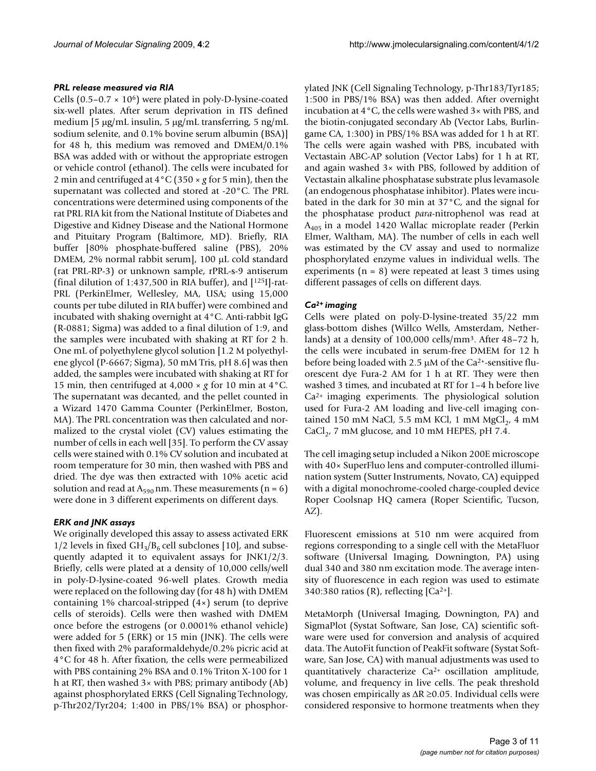#### *PRL release measured via RIA*

Cells  $(0.5-0.7 \times 10^6)$  were plated in poly-D-lysine-coated six-well plates. After serum deprivation in ITS defined medium [5 μg/mL insulin, 5 μg/mL transferring, 5 ng/mL sodium selenite, and 0.1% bovine serum albumin (BSA)] for 48 h, this medium was removed and DMEM/0.1% BSA was added with or without the appropriate estrogen or vehicle control (ethanol). The cells were incubated for 2 min and centrifuged at 4°C (350 × *g* for 5 min), then the supernatant was collected and stored at -20°C. The PRL concentrations were determined using components of the rat PRL RIA kit from the National Institute of Diabetes and Digestive and Kidney Disease and the National Hormone and Pituitary Program (Baltimore, MD). Briefly, RIA buffer [80% phosphate-buffered saline (PBS), 20% DMEM, 2% normal rabbit serum], 100 μL cold standard (rat PRL-RP-3) or unknown sample, rPRL-s-9 antiserum (final dilution of 1:437,500 in RIA buffer), and [125I]-rat-PRL (PerkinElmer, Wellesley, MA, USA; using 15,000 counts per tube diluted in RIA buffer) were combined and incubated with shaking overnight at 4°C. Anti-rabbit IgG (R-0881; Sigma) was added to a final dilution of 1:9, and the samples were incubated with shaking at RT for 2 h. One mL of polyethylene glycol solution [1.2 M polyethylene glycol (P-6667; Sigma), 50 mM Tris, pH 8.6] was then added, the samples were incubated with shaking at RT for 15 min, then centrifuged at  $4,000 \times g$  for 10 min at  $4^{\circ}$ C. The supernatant was decanted, and the pellet counted in a Wizard 1470 Gamma Counter (PerkinElmer, Boston, MA). The PRL concentration was then calculated and normalized to the crystal violet (CV) values estimating the number of cells in each well [35]. To perform the CV assay cells were stained with 0.1% CV solution and incubated at room temperature for 30 min, then washed with PBS and dried. The dye was then extracted with 10% acetic acid solution and read at  $A_{590}$  nm. These measurements (n = 6) were done in 3 different experiments on different days.

# *ERK and JNK assays*

We originally developed this assay to assess activated ERK 1/2 levels in fixed  $GH_3/B_6$  cell subclones [10], and subsequently adapted it to equivalent assays for JNK1/2/3. Briefly, cells were plated at a density of 10,000 cells/well in poly-D-lysine-coated 96-well plates. Growth media were replaced on the following day (for 48 h) with DMEM containing 1% charcoal-stripped (4×) serum (to deprive cells of steroids). Cells were then washed with DMEM once before the estrogens (or 0.0001% ethanol vehicle) were added for 5 (ERK) or 15 min (JNK). The cells were then fixed with 2% paraformaldehyde/0.2% picric acid at 4°C for 48 h. After fixation, the cells were permeabilized with PBS containing 2% BSA and 0.1% Triton X-100 for 1 h at RT, then washed 3× with PBS; primary antibody (Ab) against phosphorylated ERKS (Cell Signaling Technology, p-Thr202/Tyr204; 1:400 in PBS/1% BSA) or phosphorylated JNK (Cell Signaling Technology, p-Thr183/Tyr185; 1:500 in PBS/1% BSA) was then added. After overnight incubation at 4°C, the cells were washed 3× with PBS, and the biotin-conjugated secondary Ab (Vector Labs, Burlingame CA, 1:300) in PBS/1% BSA was added for 1 h at RT. The cells were again washed with PBS, incubated with Vectastain ABC-AP solution (Vector Labs) for 1 h at RT, and again washed 3× with PBS, followed by addition of Vectastain alkaline phosphatase substrate plus levamasole (an endogenous phosphatase inhibitor). Plates were incubated in the dark for 30 min at 37°C, and the signal for the phosphatase product *para*-nitrophenol was read at  $A_{405}$  in a model 1420 Wallac microplate reader (Perkin Elmer, Waltham, MA). The number of cells in each well was estimated by the CV assay and used to normalize phosphorylated enzyme values in individual wells. The experiments ( $n = 8$ ) were repeated at least 3 times using different passages of cells on different days.

# *Ca2+ imaging*

Cells were plated on poly-D-lysine-treated 35/22 mm glass-bottom dishes (Willco Wells, Amsterdam, Netherlands) at a density of 100,000 cells/mm3. After 48–72 h, the cells were incubated in serum-free DMEM for 12 h before being loaded with 2.5 μM of the Ca2+-sensitive fluorescent dye Fura-2 AM for 1 h at RT. They were then washed 3 times, and incubated at RT for 1–4 h before live Ca2+ imaging experiments. The physiological solution used for Fura-2 AM loading and live-cell imaging contained 150 mM NaCl, 5.5 mM KCl, 1 mM  $MgCl<sub>2</sub>$ , 4 mM CaCl<sub>2</sub>, 7 mM glucose, and 10 mM HEPES, pH 7.4.

The cell imaging setup included a Nikon 200E microscope with 40× SuperFluo lens and computer-controlled illumination system (Sutter Instruments, Novato, CA) equipped with a digital monochrome-cooled charge-coupled device Roper Coolsnap HQ camera (Roper Scientific, Tucson, AZ).

Fluorescent emissions at 510 nm were acquired from regions corresponding to a single cell with the MetaFluor software (Universal Imaging, Downington, PA) using dual 340 and 380 nm excitation mode. The average intensity of fluorescence in each region was used to estimate 340:380 ratios (R), reflecting [Ca2+].

MetaMorph (Universal Imaging, Downington, PA) and SigmaPlot (Systat Software, San Jose, CA) scientific software were used for conversion and analysis of acquired data. The AutoFit function of PeakFit software (Systat Software, San Jose, CA) with manual adjustments was used to quantitatively characterize Ca2+ oscillation amplitude, volume, and frequency in live cells. The peak threshold was chosen empirically as  $\Delta R \ge 0.05$ . Individual cells were considered responsive to hormone treatments when they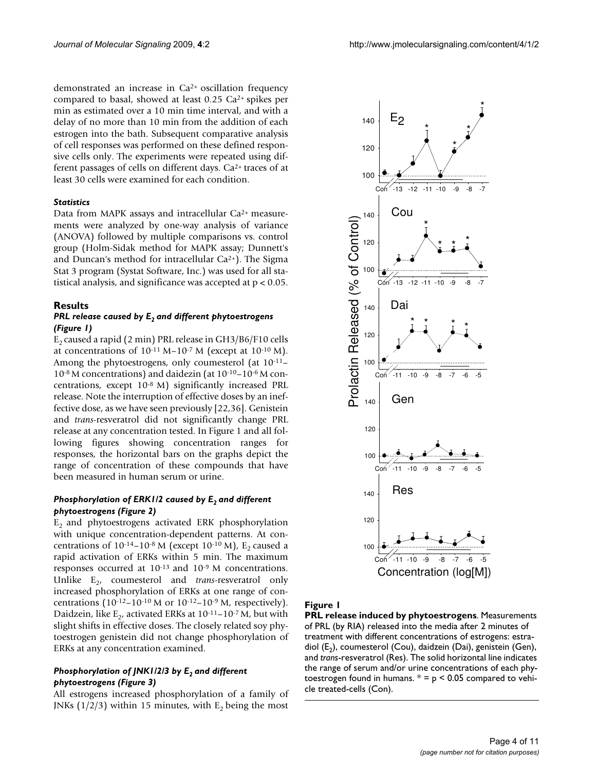demonstrated an increase in Ca2+ oscillation frequency compared to basal, showed at least 0.25 Ca2+ spikes per min as estimated over a 10 min time interval, and with a delay of no more than 10 min from the addition of each estrogen into the bath. Subsequent comparative analysis of cell responses was performed on these defined responsive cells only. The experiments were repeated using different passages of cells on different days. Ca2+ traces of at least 30 cells were examined for each condition.

#### *Statistics*

Data from MAPK assays and intracellular Ca<sup>2+</sup> measurements were analyzed by one-way analysis of variance (ANOVA) followed by multiple comparisons vs. control group (Holm-Sidak method for MAPK assay; Dunnett's and Duncan's method for intracellular Ca2+). The Sigma Stat 3 program (Systat Software, Inc.) was used for all statistical analysis, and significance was accepted at p < 0.05.

# **Results**

#### *PRL release caused by E<sub>2</sub> and different phytoestrogens (Figure 1)*

 $E<sub>2</sub>$  caused a rapid (2 min) PRL release in GH3/B6/F10 cells at concentrations of  $10^{-11}$  M– $10^{-7}$  M (except at  $10^{-10}$  M). Among the phytoestrogens, only coumesterol (at 10-11– 10-8 M concentrations) and daidezin (at 10-10–10-6 M concentrations, except 10-8 M) significantly increased PRL release. Note the interruption of effective doses by an ineffective dose, as we have seen previously [22,36]. Genistein and *trans*-resveratrol did not significantly change PRL release at any concentration tested. In Figure 1 and all following figures showing concentration ranges for responses, the horizontal bars on the graphs depict the range of concentration of these compounds that have been measured in human serum or urine.

# *Phosphorylation of ERK1/2 caused by E<sub>2</sub> and different phytoestrogens (Figure 2)*

 $E<sub>2</sub>$  and phytoestrogens activated ERK phosphorylation with unique concentration-dependent patterns. At concentrations of  $10^{-14}$ – $10^{-8}$  M (except  $10^{-10}$  M), E<sub>2</sub> caused a rapid activation of ERKs within 5 min. The maximum responses occurred at 10-13 and 10-9 M concentrations. Unlike E<sub>2</sub>, coumesterol and *trans*-resveratrol only increased phosphorylation of ERKs at one range of concentrations (10-12-10-10 M or  $10^{-12}$ -10<sup>-9</sup> M, respectively). Daidzein, like  $E_2$ , activated ERKs at  $10^{-11}$ – $10^{-7}$  M, but with slight shifts in effective doses. The closely related soy phytoestrogen genistein did not change phosphorylation of ERKs at any concentration examined.

# *Phosphorylation of JNK1/2/3 by E<sub>2</sub> and different phytoestrogens (Figure 3)*

All estrogens increased phosphorylation of a family of JNKs  $(1/2/3)$  within 15 minutes, with  $E<sub>2</sub>$  being the most



# **Figure 1**

**PRL release induced by phytoestrogens**. Measurements of PRL (by RIA) released into the media after 2 minutes of treatment with different concentrations of estrogens: estradiol (E<sub>2</sub>), coumesterol (Cou), daidzein (Dai), genistein (Gen), and *trans*-resveratrol (Res). The solid horizontal line indicates the range of serum and/or urine concentrations of each phytoestrogen found in humans.  $* = p < 0.05$  compared to vehicle treated-cells (Con).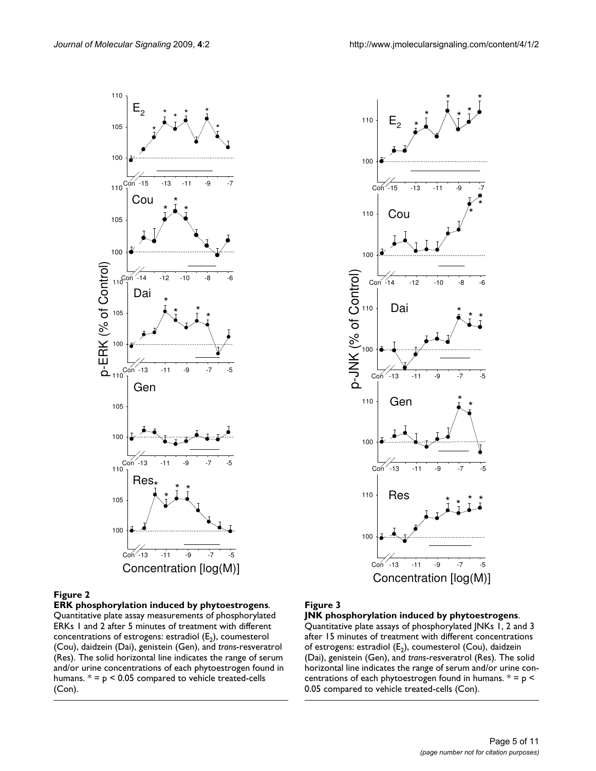



**ERK phosphorylation induced by phytoestrogens**. Quantitative plate assay measurements of phosphorylated ERKs 1 and 2 after 5 minutes of treatment with different concentrations of estrogens: estradiol  $(E_2)$ , coumesterol (Cou), daidzein (Dai), genistein (Gen), and *trans*-resveratrol (Res). The solid horizontal line indicates the range of serum and/or urine concentrations of each phytoestrogen found in humans.  $* = p < 0.05$  compared to vehicle treated-cells (Con).

# Figure 3

**JNK phosphorylation induced by phytoestrogens**. Quantitative plate assays of phosphorylated JNKs 1, 2 and 3 after 15 minutes of treatment with different concentrations of estrogens: estradiol  $(E_2)$ , coumesterol (Cou), daidzein (Dai), genistein (Gen), and *trans*-resveratrol (Res). The solid horizontal line indicates the range of serum and/or urine concentrations of each phytoestrogen found in humans.  $* = p <$ 0.05 compared to vehicle treated-cells (Con).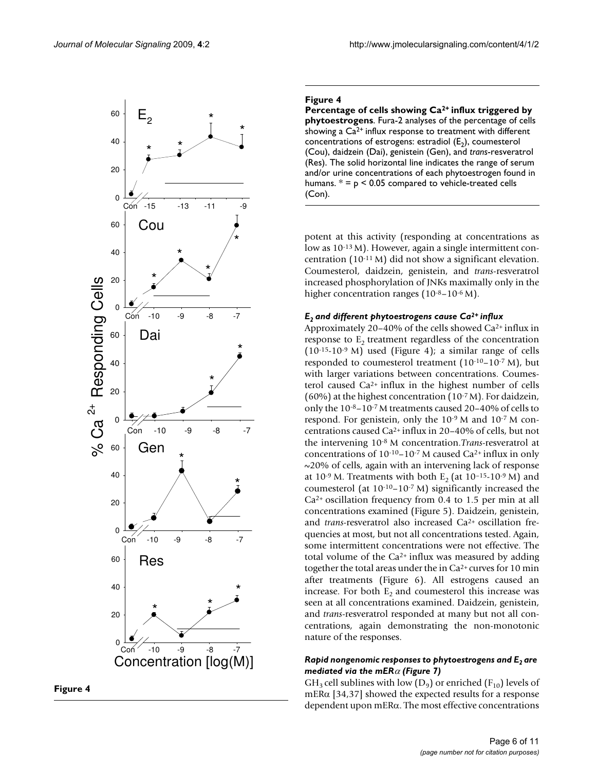

#### **Figure 4**

**Percentage of cells showing Ca2+ influx triggered by phytoestrogens**. Fura-2 analyses of the percentage of cells showing a  $Ca<sup>2+</sup>$  influx response to treatment with different concentrations of estrogens: estradiol  $(E_2)$ , coumesterol (Cou), daidzein (Dai), genistein (Gen), and *trans*-resveratrol (Res). The solid horizontal line indicates the range of serum and/or urine concentrations of each phytoestrogen found in humans.  $* = p < 0.05$  compared to vehicle-treated cells (Con).

potent at this activity (responding at concentrations as low as 10-13 M). However, again a single intermittent concentration (10-11 M) did not show a significant elevation. Coumesterol, daidzein, genistein, and *trans*-resveratrol increased phosphorylation of JNKs maximally only in the higher concentration ranges (10<sup>-8</sup>–10<sup>-6</sup> M).

#### *E2 and different phytoestrogens cause Ca2+ influx*

Approximately 20–40% of the cells showed Ca2+ influx in response to  $E<sub>2</sub>$  treatment regardless of the concentration  $(10^{-15}-10^{-9}$  M) used (Figure 4); a similar range of cells responded to coumesterol treatment (10-10–10-7 M), but with larger variations between concentrations. Coumesterol caused Ca2+ influx in the highest number of cells (60%) at the highest concentration (10-7 M). For daidzein, only the 10-8–10-7 M treatments caused 20–40% of cells to respond. For genistein, only the 10-9 M and 10-7 M concentrations caused Ca2+ influx in 20–40% of cells, but not the intervening 10-8 M concentration.*Trans*-resveratrol at concentrations of  $10^{-10} - 10^{-7}$  M caused Ca<sup>2+</sup> influx in only ~20% of cells, again with an intervening lack of response at  $10^{-9}$  M. Treatments with both E<sub>2</sub> (at  $10^{-15}$ -10<sup>-9</sup> M) and coumesterol (at  $10^{-10} - 10^{-7}$  M) significantly increased the  $Ca<sup>2+</sup>$  oscillation frequency from 0.4 to 1.5 per min at all concentrations examined (Figure 5). Daidzein, genistein, and *trans*-resveratrol also increased Ca<sup>2+</sup> oscillation frequencies at most, but not all concentrations tested. Again, some intermittent concentrations were not effective. The total volume of the  $Ca^{2+}$  influx was measured by adding together the total areas under the in Ca2+ curves for 10 min after treatments (Figure 6). All estrogens caused an increase. For both  $E_2$  and coumesterol this increase was seen at all concentrations examined. Daidzein, genistein, and *trans*-resveratrol responded at many but not all concentrations, again demonstrating the non-monotonic nature of the responses.

# *Rapid nongenomic responses to phytoestrogens and E<sub>2</sub> are mediated via the mER*α *(Figure 7)*

GH<sub>3</sub> cell sublines with low ( $D_9$ ) or enriched ( $F_{10}$ ) levels of mERα [34,37] showed the expected results for a response dependent upon mERα. The most effective concentrations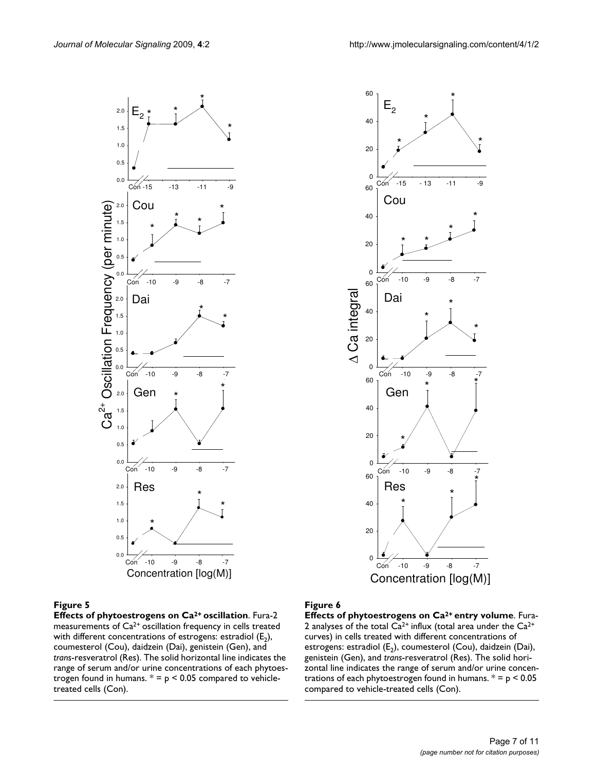



**Effects of phytoestrogens on Ca2+ oscillation**. Fura-2 measurements of Ca<sup>2+</sup> oscillation frequency in cells treated with different concentrations of estrogens: estradiol  $(E_2)$ , coumesterol (Cou), daidzein (Dai), genistein (Gen), and *trans*-resveratrol (Res). The solid horizontal line indicates the range of serum and/or urine concentrations of each phytoestrogen found in humans.  $* = p < 0.05$  compared to vehicletreated cells (Con).

#### Figure 6

**Effects of phytoestrogens on Ca2+ entry volume**. Fura-2 analyses of the total  $Ca^{2+}$  influx (total area under the  $Ca^{2+}$ curves) in cells treated with different concentrations of estrogens: estradiol  $(E_2)$ , coumesterol (Cou), daidzein (Dai), genistein (Gen), and *trans*-resveratrol (Res). The solid horizontal line indicates the range of serum and/or urine concentrations of each phytoestrogen found in humans.  $* = p < 0.05$ compared to vehicle-treated cells (Con).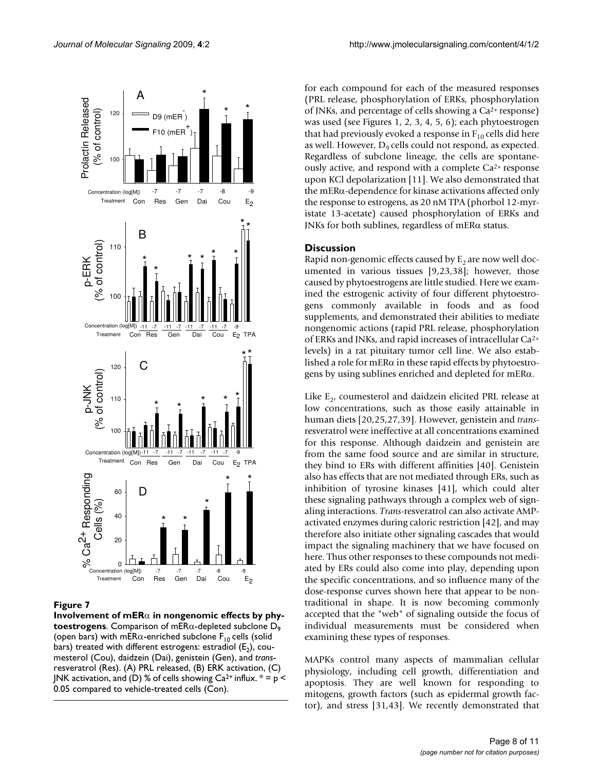

**Involvement of mER**α **in nongenomic effects by phytoestrogens**. Comparison of mER $\alpha$ -depleted subclone  $D_{\alpha}$ (open bars) with mER $\alpha$ -enriched subclone F<sub>10</sub> cells (solid bars) treated with different estrogens: estradiol  $(E_2)$ , coumesterol (Cou), daidzein (Dai), genistein (Gen), and *trans*resveratrol (Res). (A) PRL released, (B) ERK activation, (C) JNK activation, and (D) % of cells showing  $Ca^{2+}$  influx.  $* = p <$ 0.05 compared to vehicle-treated cells (Con).

for each compound for each of the measured responses (PRL release, phosphorylation of ERKs, phosphorylation of JNKs, and percentage of cells showing a Ca2+ response) was used (see Figures 1, 2, 3, 4, 5, 6); each phytoestrogen that had previously evoked a response in  $F_{10}$  cells did here as well. However,  $D<sub>9</sub>$  cells could not respond, as expected. Regardless of subclone lineage, the cells are spontaneously active, and respond with a complete  $Ca^{2+}$  response upon KCl depolarization [11]. We also demonstrated that the mERα-dependence for kinase activations affected only the response to estrogens, as 20 nM TPA (phorbol 12-myristate 13-acetate) caused phosphorylation of ERKs and JNKs for both sublines, regardless of mERα status.

# **Discussion**

Rapid non-genomic effects caused by  $E<sub>2</sub>$  are now well documented in various tissues [9,23,38]; however, those caused by phytoestrogens are little studied. Here we examined the estrogenic activity of four different phytoestrogens commonly available in foods and as food supplements, and demonstrated their abilities to mediate nongenomic actions (rapid PRL release, phosphorylation of ERKs and JNKs, and rapid increases of intracellular Ca2+ levels) in a rat pituitary tumor cell line. We also established a role for mERα in these rapid effects by phytoestrogens by using sublines enriched and depleted for mERα.

Like  $E<sub>2</sub>$ , coumesterol and daidzein elicited PRL release at low concentrations, such as those easily attainable in human diets [20,25,27,39]. However, genistein and *trans*resveratrol were ineffective at all concentrations examined for this response. Although daidzein and genistein are from the same food source and are similar in structure, they bind to ERs with different affinities [40]. Genistein also has effects that are not mediated through ERs, such as inhibition of tyrosine kinases [41], which could alter these signaling pathways through a complex web of signaling interactions. *Trans*-resveratrol can also activate AMPactivated enzymes during caloric restriction [42], and may therefore also initiate other signaling cascades that would impact the signaling machinery that we have focused on here. Thus other responses to these compounds not mediated by ERs could also come into play, depending upon the specific concentrations, and so influence many of the dose-response curves shown here that appear to be nontraditional in shape. It is now becoming commonly accepted that the "web" of signaling outside the focus of individual measurements must be considered when examining these types of responses.

MAPKs control many aspects of mammalian cellular physiology, including cell growth, differentiation and apoptosis. They are well known for responding to mitogens, growth factors (such as epidermal growth factor), and stress [31,43]. We recently demonstrated that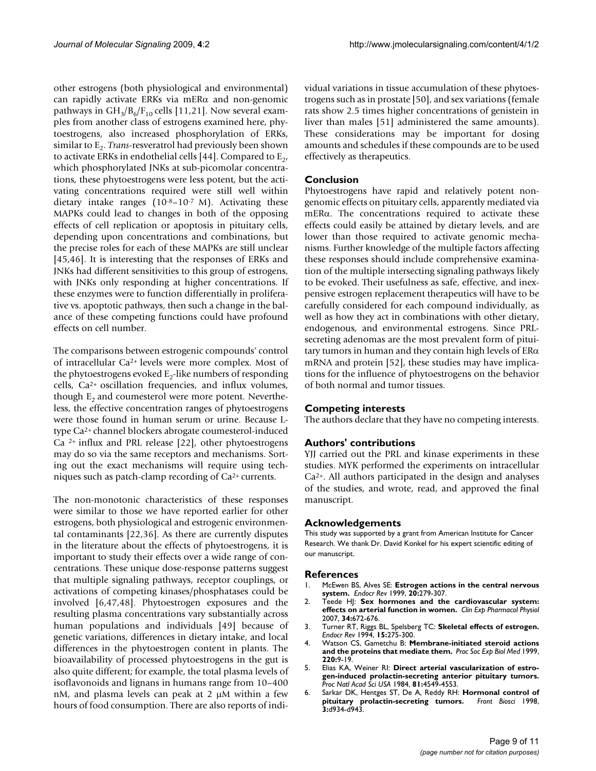other estrogens (both physiological and environmental) can rapidly activate ERKs via mERα and non-genomic pathways in  $GH_3/B_6/F_{10}$  cells [11,21]. Now several examples from another class of estrogens examined here, phytoestrogens, also increased phosphorylation of ERKs, similar to E<sub>2</sub>. *Trans*-resveratrol had previously been shown to activate ERKs in endothelial cells [44]. Compared to  $E_2$ , which phosphorylated JNKs at sub-picomolar concentrations, these phytoestrogens were less potent, but the activating concentrations required were still well within dietary intake ranges  $(10^{-8}-10^{-7} \text{ M})$ . Activating these MAPKs could lead to changes in both of the opposing effects of cell replication or apoptosis in pituitary cells, depending upon concentrations and combinations, but the precise roles for each of these MAPKs are still unclear [45,46]. It is interesting that the responses of ERKs and JNKs had different sensitivities to this group of estrogens, with JNKs only responding at higher concentrations. If these enzymes were to function differentially in proliferative vs. apoptotic pathways, then such a change in the balance of these competing functions could have profound effects on cell number.

The comparisons between estrogenic compounds' control of intracellular Ca2+ levels were more complex. Most of the phytoestrogens evoked  $E_2$ -like numbers of responding cells, Ca2+ oscillation frequencies, and influx volumes, though  $E<sub>2</sub>$  and coumesterol were more potent. Nevertheless, the effective concentration ranges of phytoestrogens were those found in human serum or urine. Because Ltype Ca2+ channel blockers abrogate coumesterol-induced Ca  $^{2+}$  influx and PRL release [22], other phytoestrogens may do so via the same receptors and mechanisms. Sorting out the exact mechanisms will require using techniques such as patch-clamp recording of Ca2+ currents.

The non-monotonic characteristics of these responses were similar to those we have reported earlier for other estrogens, both physiological and estrogenic environmental contaminants [22,36]. As there are currently disputes in the literature about the effects of phytoestrogens, it is important to study their effects over a wide range of concentrations. These unique dose-response patterns suggest that multiple signaling pathways, receptor couplings, or activations of competing kinases/phosphatases could be involved [6,47,48]. Phytoestrogen exposures and the resulting plasma concentrations vary substantially across human populations and individuals [49] because of genetic variations, differences in dietary intake, and local differences in the phytoestrogen content in plants. The bioavailability of processed phytoestrogens in the gut is also quite different; for example, the total plasma levels of isoflavonoids and lignans in humans range from 10–400 nM, and plasma levels can peak at 2 μM within a few hours of food consumption. There are also reports of individual variations in tissue accumulation of these phytoestrogens such as in prostate [50], and sex variations (female rats show 2.5 times higher concentrations of genistein in liver than males [51] administered the same amounts). These considerations may be important for dosing amounts and schedules if these compounds are to be used effectively as therapeutics.

# **Conclusion**

Phytoestrogens have rapid and relatively potent nongenomic effects on pituitary cells, apparently mediated via mERα. The concentrations required to activate these effects could easily be attained by dietary levels, and are lower than those required to activate genomic mechanisms. Further knowledge of the multiple factors affecting these responses should include comprehensive examination of the multiple intersecting signaling pathways likely to be evoked. Their usefulness as safe, effective, and inexpensive estrogen replacement therapeutics will have to be carefully considered for each compound individually, as well as how they act in combinations with other dietary, endogenous, and environmental estrogens. Since PRLsecreting adenomas are the most prevalent form of pituitary tumors in human and they contain high levels of  $ER\alpha$ mRNA and protein [52], these studies may have implications for the influence of phytoestrogens on the behavior of both normal and tumor tissues.

# **Competing interests**

The authors declare that they have no competing interests.

# **Authors' contributions**

YJJ carried out the PRL and kinase experiments in these studies. MYK performed the experiments on intracellular  $Ca<sup>2+</sup>$ . All authors participated in the design and analyses of the studies, and wrote, read, and approved the final manuscript.

# **Acknowledgements**

This study was supported by a grant from American Institute for Cancer Research. We thank Dr. David Konkel for his expert scientific editing of our manuscript.

#### **References**

- 1. McEwen BS, Alves SE: **[Estrogen actions in the central nervous](http://www.ncbi.nlm.nih.gov/entrez/query.fcgi?cmd=Retrieve&db=PubMed&dopt=Abstract&list_uids=10368772) [system.](http://www.ncbi.nlm.nih.gov/entrez/query.fcgi?cmd=Retrieve&db=PubMed&dopt=Abstract&list_uids=10368772)** *Endocr Rev* 1999, **20:**279-307.
- 2. Teede HJ: **[Sex hormones and the cardiovascular system:](http://www.ncbi.nlm.nih.gov/entrez/query.fcgi?cmd=Retrieve&db=PubMed&dopt=Abstract&list_uids=17581228) [effects on arterial function in women.](http://www.ncbi.nlm.nih.gov/entrez/query.fcgi?cmd=Retrieve&db=PubMed&dopt=Abstract&list_uids=17581228)** *Clin Exp Pharmacol Physiol* 2007, **34:**672-676.
- 3. Turner RT, Riggs BL, Spelsberg TC: **[Skeletal effects of estrogen.](http://www.ncbi.nlm.nih.gov/entrez/query.fcgi?cmd=Retrieve&db=PubMed&dopt=Abstract&list_uids=8076582)** *Endocr Rev* 1994, **15:**275-300.
- 4. Watson CS, Gametchu B: **[Membrane-initiated steroid actions](http://www.ncbi.nlm.nih.gov/entrez/query.fcgi?cmd=Retrieve&db=PubMed&dopt=Abstract&list_uids=9893163) [and the proteins that mediate them.](http://www.ncbi.nlm.nih.gov/entrez/query.fcgi?cmd=Retrieve&db=PubMed&dopt=Abstract&list_uids=9893163)** *Proc Soc Exp Biol Med* 1999, **220:**9-19.
- 5. Elias KA, Weiner RI: **[Direct arterial vascularization of estro](http://www.ncbi.nlm.nih.gov/entrez/query.fcgi?cmd=Retrieve&db=PubMed&dopt=Abstract&list_uids=6589610)[gen-induced prolactin-secreting anterior pituitary tumors.](http://www.ncbi.nlm.nih.gov/entrez/query.fcgi?cmd=Retrieve&db=PubMed&dopt=Abstract&list_uids=6589610)** *Proc Natl Acad Sci USA* 1984, **81:**4549-4553.
- 6. Sarkar DK, Hentges ST, De A, Reddy RH: **[Hormonal control of](http://www.ncbi.nlm.nih.gov/entrez/query.fcgi?cmd=Retrieve&db=PubMed&dopt=Abstract&list_uids=9696884) [pituitary prolactin-secreting tumors.](http://www.ncbi.nlm.nih.gov/entrez/query.fcgi?cmd=Retrieve&db=PubMed&dopt=Abstract&list_uids=9696884)** *Front Biosci* 1998, **3:**d934-d943.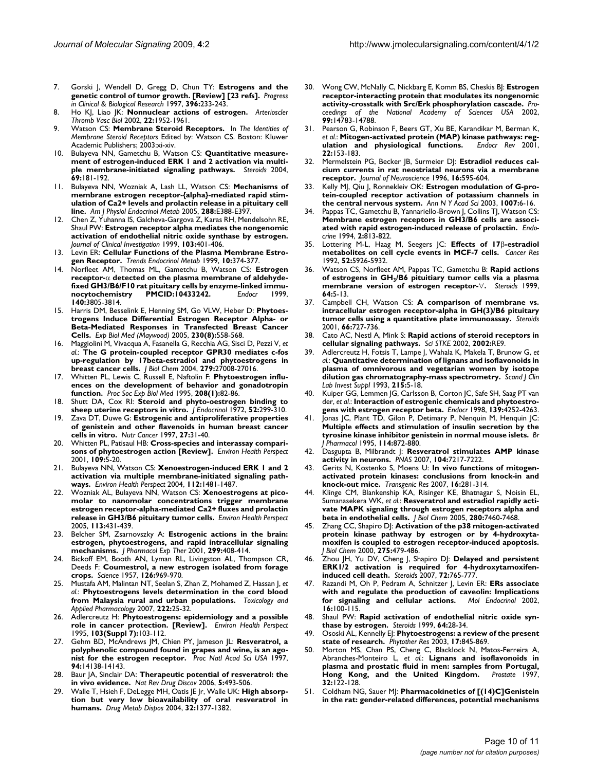- 7. Gorski J, Wendell D, Gregg D, Chun TY: **Estrogens and the genetic control of tumor growth. [Review] [23 refs].** *Progress in Clinical & Biological Research* 1997, **396:**233-243.
- 8. Ho KJ, Liao JK: **[Nonnuclear actions of estrogen.](http://www.ncbi.nlm.nih.gov/entrez/query.fcgi?cmd=Retrieve&db=PubMed&dopt=Abstract&list_uids=12482819)** *Arterioscler Thromb Vasc Biol* 2002, **22:**1952-1961.
- 9. Watson CS: **Membrane Steroid Receptors.** In *The Identities of Membrane Steroid Receptors* Edited by: Watson CS. Boston: Kluwer Academic Publishers; 2003:xi-xiv.
- 10. Bulayeva NN, Gametchu B, Watson CS: **[Quantitative measure](http://www.ncbi.nlm.nih.gov/entrez/query.fcgi?cmd=Retrieve&db=PubMed&dopt=Abstract&list_uids=15072920)[ment of estrogen-induced ERK 1 and 2 activation via multi](http://www.ncbi.nlm.nih.gov/entrez/query.fcgi?cmd=Retrieve&db=PubMed&dopt=Abstract&list_uids=15072920)[ple membrane-initiated signaling pathways.](http://www.ncbi.nlm.nih.gov/entrez/query.fcgi?cmd=Retrieve&db=PubMed&dopt=Abstract&list_uids=15072920)** *Steroids* 2004, **69:**181-192.
- 11. Bulayeva NN, Wozniak A, Lash LL, Watson CS: **[Mechanisms of](http://www.ncbi.nlm.nih.gov/entrez/query.fcgi?cmd=Retrieve&db=PubMed&dopt=Abstract&list_uids=15494610) [membrane estrogen receptor-{alpha}-mediated rapid stim](http://www.ncbi.nlm.nih.gov/entrez/query.fcgi?cmd=Retrieve&db=PubMed&dopt=Abstract&list_uids=15494610)ulation of Ca2+ levels and prolactin release in a pituitary cell [line.](http://www.ncbi.nlm.nih.gov/entrez/query.fcgi?cmd=Retrieve&db=PubMed&dopt=Abstract&list_uids=15494610)** *Am J Physiol Endocrinol Metab* 2005, **288:**E388-E397.
- 12. Chen Z, Yuhanna IS, Galcheva-Gargova Z, Karas RH, Mendelsohn RE, Shaul PW: **[Estrogen receptor alpha mediates the nongenomic](http://www.ncbi.nlm.nih.gov/entrez/query.fcgi?cmd=Retrieve&db=PubMed&dopt=Abstract&list_uids=9927501) [activation of endothelial nitric oxide synthase by estrogen.](http://www.ncbi.nlm.nih.gov/entrez/query.fcgi?cmd=Retrieve&db=PubMed&dopt=Abstract&list_uids=9927501)** *Journal of Clinical Investigation* 1999, **103:**401-406.
- 13. Levin ER: **[Cellular Functions of the Plasma Membrane Estro](http://www.ncbi.nlm.nih.gov/entrez/query.fcgi?cmd=Retrieve&db=PubMed&dopt=Abstract&list_uids=10511697)[gen Receptor.](http://www.ncbi.nlm.nih.gov/entrez/query.fcgi?cmd=Retrieve&db=PubMed&dopt=Abstract&list_uids=10511697)** *Trends Endocrinol Metab* 1999, **10:**374-377.
- 14. Norfleet AM, Thomas ML, Gametchu B, Watson CS: **Estrogen receptor-**α **detected on the plasma membrane of aldehyde**fixed GH3/B6/F10 rat pituitary cells by enzyme-linked immu-<br>nocytochemistry **PMCID:10433242.** Endocr 1999, **nocytochemistry PMCID:10433242.** *Endocr* 1999, **140:**3805-3814.
- 15. Harris DM, Besselink E, Henning SM, Go VLW, Heber D: **[Phytoes](http://www.ncbi.nlm.nih.gov/entrez/query.fcgi?cmd=Retrieve&db=PubMed&dopt=Abstract&list_uids=16118406)[trogens Induce Differential Estrogen Receptor Alpha- or](http://www.ncbi.nlm.nih.gov/entrez/query.fcgi?cmd=Retrieve&db=PubMed&dopt=Abstract&list_uids=16118406) Beta-Mediated Responses in Transfected Breast Cancer [Cells.](http://www.ncbi.nlm.nih.gov/entrez/query.fcgi?cmd=Retrieve&db=PubMed&dopt=Abstract&list_uids=16118406)** *Exp Biol Med (Maywood)* 2005, **230(8):**558-568.
- 16. Maggiolini M, Vivacqua A, Fasanella G, Recchia AG, Sisci D, Pezzi V, *et al.*: **[The G protein-coupled receptor GPR30 mediates c-fos](http://www.ncbi.nlm.nih.gov/entrez/query.fcgi?cmd=Retrieve&db=PubMed&dopt=Abstract&list_uids=15090535) [up-regulation by 17beta-estradiol and phytoestrogens in](http://www.ncbi.nlm.nih.gov/entrez/query.fcgi?cmd=Retrieve&db=PubMed&dopt=Abstract&list_uids=15090535) [breast cancer cells.](http://www.ncbi.nlm.nih.gov/entrez/query.fcgi?cmd=Retrieve&db=PubMed&dopt=Abstract&list_uids=15090535)** *J Biol Chem* 2004, **279:**27008-27016.
- 17. Whitten PL, Lewis C, Russell E, Naftolin F: **[Phytoestrogen influ](http://www.ncbi.nlm.nih.gov/entrez/query.fcgi?cmd=Retrieve&db=PubMed&dopt=Abstract&list_uids=7892301)[ences on the development of behavior and gonadotropin](http://www.ncbi.nlm.nih.gov/entrez/query.fcgi?cmd=Retrieve&db=PubMed&dopt=Abstract&list_uids=7892301) [function.](http://www.ncbi.nlm.nih.gov/entrez/query.fcgi?cmd=Retrieve&db=PubMed&dopt=Abstract&list_uids=7892301)** *Proc Soc Exp Biol Med* 1995, **208(1):**82-86.
- 18. Shutt DA, Cox RI: **[Steroid and phyto-oestrogen binding to](http://www.ncbi.nlm.nih.gov/entrez/query.fcgi?cmd=Retrieve&db=PubMed&dopt=Abstract&list_uids=5015385) [sheep uterine receptors in vitro.](http://www.ncbi.nlm.nih.gov/entrez/query.fcgi?cmd=Retrieve&db=PubMed&dopt=Abstract&list_uids=5015385)** *J Endocrinol* 1972, **52:**299-310.
- 19. Zava DT, Duwe G: **[Estrogenic and antiproliferative properties](http://www.ncbi.nlm.nih.gov/entrez/query.fcgi?cmd=Retrieve&db=PubMed&dopt=Abstract&list_uids=8970179) [of genistein and other flavenoids in human breast cancer](http://www.ncbi.nlm.nih.gov/entrez/query.fcgi?cmd=Retrieve&db=PubMed&dopt=Abstract&list_uids=8970179) [cells in vitro.](http://www.ncbi.nlm.nih.gov/entrez/query.fcgi?cmd=Retrieve&db=PubMed&dopt=Abstract&list_uids=8970179)** *Nutr Cancer* 1997, **27:**31-40.
- 20. Whitten PL, Patisaul HB: **[Cross-species and interassay compari](http://www.ncbi.nlm.nih.gov/entrez/query.fcgi?cmd=Retrieve&db=PubMed&dopt=Abstract&list_uids=11250801)[sons of phytoestrogen action \[Review\].](http://www.ncbi.nlm.nih.gov/entrez/query.fcgi?cmd=Retrieve&db=PubMed&dopt=Abstract&list_uids=11250801)** *Environ Health Perspect* 2001, **109:**5-20.
- 21. Bulayeva NN, Watson CS: **[Xenoestrogen-induced ERK 1 and 2](http://www.ncbi.nlm.nih.gov/entrez/query.fcgi?cmd=Retrieve&db=PubMed&dopt=Abstract&list_uids=15531431) [activation via multiple membrane-initiated signaling path](http://www.ncbi.nlm.nih.gov/entrez/query.fcgi?cmd=Retrieve&db=PubMed&dopt=Abstract&list_uids=15531431)[ways.](http://www.ncbi.nlm.nih.gov/entrez/query.fcgi?cmd=Retrieve&db=PubMed&dopt=Abstract&list_uids=15531431)** *Environ Health Perspect* 2004, **112:**1481-1487.
- 22. Wozniak AL, Bulayeva NN, Watson CS: **[Xenoestrogens at pico](http://www.ncbi.nlm.nih.gov/entrez/query.fcgi?cmd=Retrieve&db=PubMed&dopt=Abstract&list_uids=15811834)[molar to nanomolar concentrations trigger membrane](http://www.ncbi.nlm.nih.gov/entrez/query.fcgi?cmd=Retrieve&db=PubMed&dopt=Abstract&list_uids=15811834) estrogen receptor-alpha-mediated Ca2+ fluxes and prolactin [release in GH3/B6 pituitary tumor cells.](http://www.ncbi.nlm.nih.gov/entrez/query.fcgi?cmd=Retrieve&db=PubMed&dopt=Abstract&list_uids=15811834)** *Environ Health Perspect* 2005, **113:**431-439.
- 23. Belcher SM, Zsarnovszky A: **[Estrogenic actions in the brain:](http://www.ncbi.nlm.nih.gov/entrez/query.fcgi?cmd=Retrieve&db=PubMed&dopt=Abstract&list_uids=11602649) [estrogen, phytoestrogens, and rapid intracellular signaling](http://www.ncbi.nlm.nih.gov/entrez/query.fcgi?cmd=Retrieve&db=PubMed&dopt=Abstract&list_uids=11602649) [mechanisms.](http://www.ncbi.nlm.nih.gov/entrez/query.fcgi?cmd=Retrieve&db=PubMed&dopt=Abstract&list_uids=11602649)** *J Pharmacol Exp Ther* 2001, **299:**408-414.
- Bickoff EM, Booth AN, Lyman RL, Livingston AL, Thompson CR, Deeds F: **[Coumestrol, a new estrogen isolated from forage](http://www.ncbi.nlm.nih.gov/entrez/query.fcgi?cmd=Retrieve&db=PubMed&dopt=Abstract&list_uids=13486041) [crops.](http://www.ncbi.nlm.nih.gov/entrez/query.fcgi?cmd=Retrieve&db=PubMed&dopt=Abstract&list_uids=13486041)** *Science* 1957, **126:**969-970.
- 25. Mustafa AM, Malintan NT, Seelan S, Zhan Z, Mohamed Z, Hassan J, *et al.*: **Phytoestrogens levels determination in the cord blood from Malaysia rural and urban populations.** *Toxicology and Applied Pharmacology* 2007, **222:**25-32.
- 26. Adlercreutz H: **[Phytoestrogens: epidemiology and a possible](http://www.ncbi.nlm.nih.gov/entrez/query.fcgi?cmd=Retrieve&db=PubMed&dopt=Abstract&list_uids=8593855) [role in cancer protection. \[Review\].](http://www.ncbi.nlm.nih.gov/entrez/query.fcgi?cmd=Retrieve&db=PubMed&dopt=Abstract&list_uids=8593855)** *Environ Health Perspect* 1995, **103(Suppl 7):**103-112.
- 27. Gehm BD, McAndrews JM, Chien PY, Jameson JL: **[Resveratrol, a](http://www.ncbi.nlm.nih.gov/entrez/query.fcgi?cmd=Retrieve&db=PubMed&dopt=Abstract&list_uids=9391166) [polyphenolic compound found in grapes and wine, is an ago](http://www.ncbi.nlm.nih.gov/entrez/query.fcgi?cmd=Retrieve&db=PubMed&dopt=Abstract&list_uids=9391166)[nist for the estrogen receptor.](http://www.ncbi.nlm.nih.gov/entrez/query.fcgi?cmd=Retrieve&db=PubMed&dopt=Abstract&list_uids=9391166)** *Proc Natl Acad Sci USA* 1997, **94:**14138-14143.
- 28. Baur JA, Sinclair DA: **[Therapeutic potential of resveratrol: the](http://www.ncbi.nlm.nih.gov/entrez/query.fcgi?cmd=Retrieve&db=PubMed&dopt=Abstract&list_uids=16732220) [in vivo evidence.](http://www.ncbi.nlm.nih.gov/entrez/query.fcgi?cmd=Retrieve&db=PubMed&dopt=Abstract&list_uids=16732220)** *Nat Rev Drug Discov* 2006, **5:**493-506.
- 29. Walle T, Hsieh F, DeLegge MH, Oatis JE Jr, Walle UK: **[High absorp](http://www.ncbi.nlm.nih.gov/entrez/query.fcgi?cmd=Retrieve&db=PubMed&dopt=Abstract&list_uids=15333514)[tion but very low bioavailability of oral resveratrol in](http://www.ncbi.nlm.nih.gov/entrez/query.fcgi?cmd=Retrieve&db=PubMed&dopt=Abstract&list_uids=15333514) [humans.](http://www.ncbi.nlm.nih.gov/entrez/query.fcgi?cmd=Retrieve&db=PubMed&dopt=Abstract&list_uids=15333514)** *Drug Metab Dispos* 2004, **32:**1377-1382.
- 30. Wong CW, McNally C, Nickbarg E, Komm BS, Cheskis BJ: **Estrogen receptor-interacting protein that modulates its nongenomic activity-crosstalk with Src/Erk phosphorylation cascade.** *Proceedings of the National Academy of Sciences USA* 2002, **99:**14783-14788.
- 31. Pearson G, Robinson F, Beers GT, Xu BE, Karandikar M, Berman K, *et al.*: **[Mitogen-activated protein \(MAP\) kinase pathways: reg](http://www.ncbi.nlm.nih.gov/entrez/query.fcgi?cmd=Retrieve&db=PubMed&dopt=Abstract&list_uids=11294822)**[ulation and physiological functions.](http://www.ncbi.nlm.nih.gov/entrez/query.fcgi?cmd=Retrieve&db=PubMed&dopt=Abstract&list_uids=11294822) **22:**153-183.
- 32. Mermelstein PG, Becker JB, Surmeier DJ: **[Estradiol reduces cal](http://www.ncbi.nlm.nih.gov/entrez/query.fcgi?cmd=Retrieve&db=PubMed&dopt=Abstract&list_uids=8551343)[cium currents in rat neostriatal neurons via a membrane](http://www.ncbi.nlm.nih.gov/entrez/query.fcgi?cmd=Retrieve&db=PubMed&dopt=Abstract&list_uids=8551343) [receptor.](http://www.ncbi.nlm.nih.gov/entrez/query.fcgi?cmd=Retrieve&db=PubMed&dopt=Abstract&list_uids=8551343)** *Journal of Neuroscience* 1996, **16:**595-604.
- 33. Kelly MJ, Qiu J, Ronnekleiv OK: **[Estrogen modulation of G-pro](http://www.ncbi.nlm.nih.gov/entrez/query.fcgi?cmd=Retrieve&db=PubMed&dopt=Abstract&list_uids=14993035)[tein-coupled receptor activation of potassium channels in](http://www.ncbi.nlm.nih.gov/entrez/query.fcgi?cmd=Retrieve&db=PubMed&dopt=Abstract&list_uids=14993035) [the central nervous system.](http://www.ncbi.nlm.nih.gov/entrez/query.fcgi?cmd=Retrieve&db=PubMed&dopt=Abstract&list_uids=14993035)** *Ann N Y Acad Sci* 2003, **1007:**6-16.
- Pappas TC, Gametchu B, Yannariello-Brown J, Collins TJ, Watson CS: **Membrane estrogen receptors in GH3/B6 cells are associated with rapid estrogen-induced release of prolactin.** *Endocrine* 1994, **2:**813-822.
- 35. Lottering M-L, Haag M, Seegers JC: **Effects of 17**β**[-estradiol](http://www.ncbi.nlm.nih.gov/entrez/query.fcgi?cmd=Retrieve&db=PubMed&dopt=Abstract&list_uids=1327520) [metabolites on cell cycle events in MCF-7 cells.](http://www.ncbi.nlm.nih.gov/entrez/query.fcgi?cmd=Retrieve&db=PubMed&dopt=Abstract&list_uids=1327520)** *Cancer Res* 1992, **52:**5926-5932.
- 36. Watson CS, Norfleet AM, Pappas TC, Gametchu B: **Rapid actions of estrogens in GH3/B6 pituitiary tumor cells via a plasma membrane version of estrogen receptor-**∀**[.](http://www.ncbi.nlm.nih.gov/entrez/query.fcgi?cmd=Retrieve&db=PubMed&dopt=Abstract&list_uids=10323667)** *Steroids* 1999, **64:**5-13.
- Campbell CH, Watson CS: [A comparison of membrane vs.](http://www.ncbi.nlm.nih.gov/entrez/query.fcgi?cmd=Retrieve&db=PubMed&dopt=Abstract&list_uids=11522334) **[intracellular estrogen receptor-alpha in GH\(3\)/B6 pituitary](http://www.ncbi.nlm.nih.gov/entrez/query.fcgi?cmd=Retrieve&db=PubMed&dopt=Abstract&list_uids=11522334) [tumor cells using a quantitative plate immunoassay.](http://www.ncbi.nlm.nih.gov/entrez/query.fcgi?cmd=Retrieve&db=PubMed&dopt=Abstract&list_uids=11522334)** *Steroids* 2001, **66:**727-736.
- 38. Cato AC, Nestl A, Mink S: **[Rapid actions of steroid receptors in](http://www.ncbi.nlm.nih.gov/entrez/query.fcgi?cmd=Retrieve&db=PubMed&dopt=Abstract&list_uids=12084906) [cellular signaling pathways.](http://www.ncbi.nlm.nih.gov/entrez/query.fcgi?cmd=Retrieve&db=PubMed&dopt=Abstract&list_uids=12084906)** *Sci STKE* 2002, **2002:**RE9.
- 39. Adlercreutz H, Fotsis T, Lampe J, Wahala K, Makela T, Brunow G, *et al.*: **[Quantitative determination of lignans and isoflavonoids in](http://www.ncbi.nlm.nih.gov/entrez/query.fcgi?cmd=Retrieve&db=PubMed&dopt=Abstract&list_uids=8392221) [plasma of omnivorous and vegetarian women by isotope](http://www.ncbi.nlm.nih.gov/entrez/query.fcgi?cmd=Retrieve&db=PubMed&dopt=Abstract&list_uids=8392221) [dilution gas chromatography-mass spectrometry.](http://www.ncbi.nlm.nih.gov/entrez/query.fcgi?cmd=Retrieve&db=PubMed&dopt=Abstract&list_uids=8392221)** *Scand J Clin Lab Invest Suppl* 1993, **215:**5-18.
- 40. Kuiper GG, Lemmen JG, Carlsson B, Corton JC, Safe SH, Saag PT van der, *et al.*: **Interaction of estrogenic chemicals and phytoestrogens with estrogen receptor beta.** *Endocr* 1998, **139:**4252-4263.
- 41. Jonas JC, Plant TD, Gilon P, Detimary P, Nenquin M, Henquin JC: **[Multiple effects and stimulation of insulin secretion by the](http://www.ncbi.nlm.nih.gov/entrez/query.fcgi?cmd=Retrieve&db=PubMed&dopt=Abstract&list_uids=7773549) [tyrosine kinase inhibitor genistein in normal mouse islets.](http://www.ncbi.nlm.nih.gov/entrez/query.fcgi?cmd=Retrieve&db=PubMed&dopt=Abstract&list_uids=7773549)** *Br J Pharmacol* 1995, **114:**872-880.
- 42. Dasgupta B, Milbrandt J: **[Resveratrol stimulates AMP kinase](http://www.ncbi.nlm.nih.gov/entrez/query.fcgi?cmd=Retrieve&db=PubMed&dopt=Abstract&list_uids=17438283) [activity in neurons.](http://www.ncbi.nlm.nih.gov/entrez/query.fcgi?cmd=Retrieve&db=PubMed&dopt=Abstract&list_uids=17438283)** *PNAS* 2007, **104:**7217-7222.
- 43. Gerits N, Kostenko S, Moens U: **[In vivo functions of mitogen](http://www.ncbi.nlm.nih.gov/entrez/query.fcgi?cmd=Retrieve&db=PubMed&dopt=Abstract&list_uids=17219248)[activated protein kinases: conclusions from knock-in and](http://www.ncbi.nlm.nih.gov/entrez/query.fcgi?cmd=Retrieve&db=PubMed&dopt=Abstract&list_uids=17219248) [knock-out mice.](http://www.ncbi.nlm.nih.gov/entrez/query.fcgi?cmd=Retrieve&db=PubMed&dopt=Abstract&list_uids=17219248)** *Transgenic Res* 2007, **16:**281-314.
- 44. Klinge CM, Blankenship KA, Risinger KE, Bhatnagar S, Noisin EL, Sumanasekera WK, *et al.*: **[Resveratrol and estradiol rapidly acti](http://www.ncbi.nlm.nih.gov/entrez/query.fcgi?cmd=Retrieve&db=PubMed&dopt=Abstract&list_uids=15615701)[vate MAPK signaling through estrogen receptors alpha and](http://www.ncbi.nlm.nih.gov/entrez/query.fcgi?cmd=Retrieve&db=PubMed&dopt=Abstract&list_uids=15615701) [beta in endothelial cells.](http://www.ncbi.nlm.nih.gov/entrez/query.fcgi?cmd=Retrieve&db=PubMed&dopt=Abstract&list_uids=15615701)** *J Biol Chem* 2005, **280:**7460-7468.
- 45. Zhang CC, Shapiro DJ: **[Activation of the p38 mitogen-activated](http://www.ncbi.nlm.nih.gov/entrez/query.fcgi?cmd=Retrieve&db=PubMed&dopt=Abstract&list_uids=10617642) protein kinase pathway by estrogen or by 4-hydroxyta[moxifen is coupled to estrogen receptor-induced apoptosis.](http://www.ncbi.nlm.nih.gov/entrez/query.fcgi?cmd=Retrieve&db=PubMed&dopt=Abstract&list_uids=10617642)** *J Biol Chem* 2000, **275:**479-486.
- 46. Zhou JH, Yu DV, Cheng J, Shapiro DJ: **[Delayed and persistent](http://www.ncbi.nlm.nih.gov/entrez/query.fcgi?cmd=Retrieve&db=PubMed&dopt=Abstract&list_uids=17714751) [ERK1/2 activation is required for 4-hydroxytamoxifen](http://www.ncbi.nlm.nih.gov/entrez/query.fcgi?cmd=Retrieve&db=PubMed&dopt=Abstract&list_uids=17714751)[induced cell death.](http://www.ncbi.nlm.nih.gov/entrez/query.fcgi?cmd=Retrieve&db=PubMed&dopt=Abstract&list_uids=17714751)** *Steroids* 2007, **72:**765-777.
- 47. Razandi M, Oh P, Pedram A, Schnitzer J, Levin ER: **[ERs associate](http://www.ncbi.nlm.nih.gov/entrez/query.fcgi?cmd=Retrieve&db=PubMed&dopt=Abstract&list_uids=11773442) [with and regulate the production of caveolin: Implications](http://www.ncbi.nlm.nih.gov/entrez/query.fcgi?cmd=Retrieve&db=PubMed&dopt=Abstract&list_uids=11773442)** [for signaling and cellular actions.](http://www.ncbi.nlm.nih.gov/entrez/query.fcgi?cmd=Retrieve&db=PubMed&dopt=Abstract&list_uids=11773442) **16:**100-115.
- 48. Shaul PW: **[Rapid activation of endothelial nitric oxide syn](http://www.ncbi.nlm.nih.gov/entrez/query.fcgi?cmd=Retrieve&db=PubMed&dopt=Abstract&list_uids=10323670)[thase by estrogen.](http://www.ncbi.nlm.nih.gov/entrez/query.fcgi?cmd=Retrieve&db=PubMed&dopt=Abstract&list_uids=10323670)** *Steroids* 1999, **64:**28-34.
- 49. Ososki AL, Kennelly EJ: **[Phytoestrogens: a review of the present](http://www.ncbi.nlm.nih.gov/entrez/query.fcgi?cmd=Retrieve&db=PubMed&dopt=Abstract&list_uids=13680814) [state of research.](http://www.ncbi.nlm.nih.gov/entrez/query.fcgi?cmd=Retrieve&db=PubMed&dopt=Abstract&list_uids=13680814)** *Phytother Res* 2003, **17:**845-869.
- 50. Morton MS, Chan PS, Cheng C, Blacklock N, Matos-Ferreira A, Abranches-Monteiro L, *et al.*: **[Lignans and isoflavonoids in](http://www.ncbi.nlm.nih.gov/entrez/query.fcgi?cmd=Retrieve&db=PubMed&dopt=Abstract&list_uids=9215400) [plasma and prostatic fluid in men: samples from Portugal,](http://www.ncbi.nlm.nih.gov/entrez/query.fcgi?cmd=Retrieve&db=PubMed&dopt=Abstract&list_uids=9215400)** [Hong Kong, and the United Kingdom.](http://www.ncbi.nlm.nih.gov/entrez/query.fcgi?cmd=Retrieve&db=PubMed&dopt=Abstract&list_uids=9215400) **32:**122-128.
- 51. Coldham NG, Sauer MJ: **[Pharmacokinetics of \[\(14\)C\]Genistein](http://www.ncbi.nlm.nih.gov/entrez/query.fcgi?cmd=Retrieve&db=PubMed&dopt=Abstract&list_uids=10764634) [in the rat: gender-related differences, potential mechanisms](http://www.ncbi.nlm.nih.gov/entrez/query.fcgi?cmd=Retrieve&db=PubMed&dopt=Abstract&list_uids=10764634)**